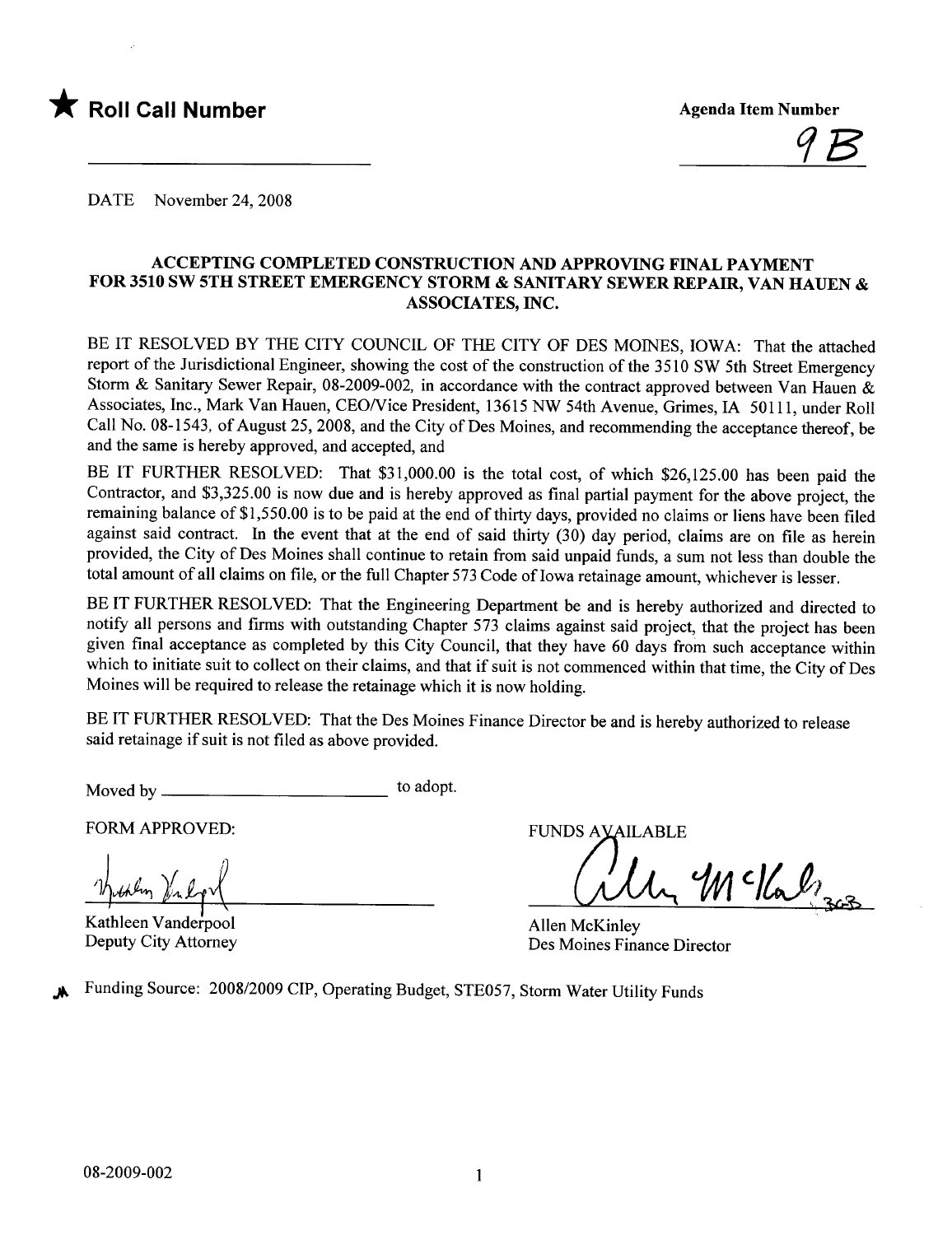



DATE November 24, 2008

#### ACCEPTING COMPLETED CONSTRUCTION AND APPROVIG FINAL PAYMENT FOR 3510 SW 5TH STREET EMERGENCY STORM & SANITARY SEWER REPAIR, VAN HAUEN & ASSOCIATES, INC.

BE IT RESOLVED BY THE CITY COUNCIL OF THE CITY OF DES MOINES, IOWA: That the attached report of the Jurisdictional Engineer, showing the cost of the construction of the 3510 SW 5th Street Emergency Storm & Sanitary Sewer Repair, 08-2009-002, in accordance with the contract approved between Van Hauen & Associates, Inc., Mark Van Hauen, CEO/Vice President, 13615 NW 54th Avenue, Grimes, IA 50111, under Roll Call No. 08-1543, of August 25,2008, and the City of Des Moines, and recommending the acceptance thereof, be and the same is hereby approved, and accepted, and

BE IT FURTHER RESOLVED: That \$31,000.00 is the total cost, of which \$26,125.00 has been paid the Contractor, and \$3,325.00 is now due and is hereby approved as final partial payment for the above project, the remaining balance of \$1,550.00 is to be paid at the end of thirty days, provided no claims or liens have been filed against said contract. In the event that at the end of said thirty (30) day period, claims are on file as herein provided, the City of Des Moines shall continue to retain from said unpaid funds, a sum not less than double the total amount of all claims on file, or the full Chapter 573 Code of Iowa retainage amount, whichever is lesser.

BE IT FURTHER RESOLVED: That the Engineering Department be and is hereby authorized and directed to notify all persons and firms with outstanding Chapter 573 claims against said project, that the project has been given final acceptance as completed by this City Council, that they have 60 days from such acceptance within which to initiate suit to collect on their claims, and that if suit is not commenced within that time, the City of Des Moines will be required to release the retainage which it is now holding.

BE IT FURTHER RESOLVED: That the Des Moines Finance Director be and is hereby authorized to release said retainage if suit is not fied as above provided.

Moved by to adopt.

FORM APPROVED:

Hichlen Vilgy

Kathleen Vanderpool Deputy City Attorney

FUNDS AVAILABLE

McKalzas

Allen McKinley Des Moines Finance Director

Funding Source: 2008/2009 CIP, Operating Budget, STE057, Storm Water Utility Funds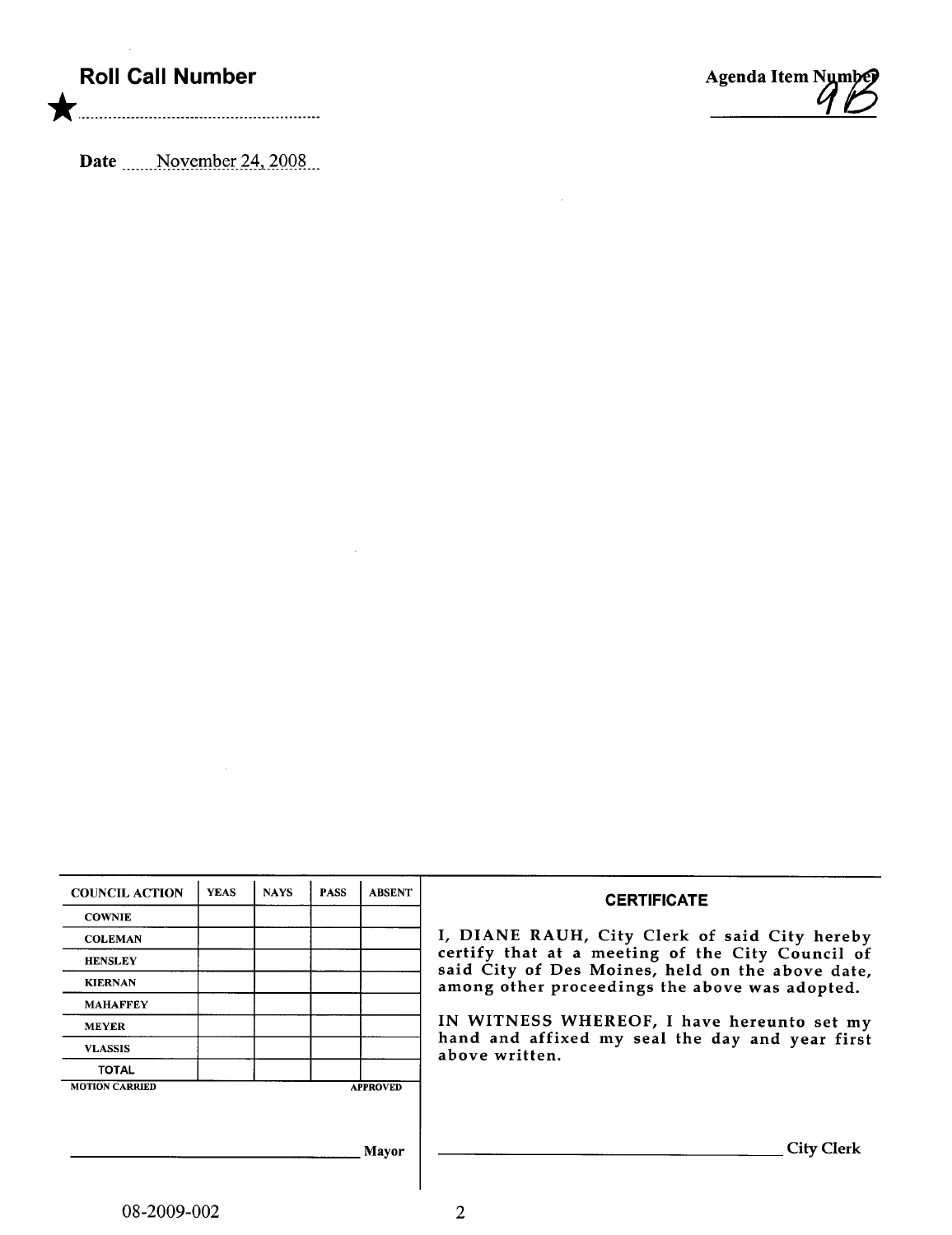## Roll Call Number

\* ........ ................ ........ ......................

Agenda Item Nymbej

 $\mathcal{L}_{\mathcal{A}}$ 

Date .......November 24, 2008...

| <b>COUNCIL ACTION</b> | <b>YEAS</b> | <b>NAYS</b> | <b>PASS</b> | <b>ABSENT</b>   | <b>CERTIFICATE</b>                                                                                 |  |  |  |
|-----------------------|-------------|-------------|-------------|-----------------|----------------------------------------------------------------------------------------------------|--|--|--|
| <b>COWNIE</b>         |             |             |             |                 |                                                                                                    |  |  |  |
| <b>COLEMAN</b>        |             |             |             |                 | I, DIANE RAUH, City Clerk of said City hereby                                                      |  |  |  |
| <b>HENSLEY</b>        |             |             |             |                 | certify that at a meeting of the City Council of                                                   |  |  |  |
| <b>KIERNAN</b>        |             |             |             |                 | said City of Des Moines, held on the above date,<br>among other proceedings the above was adopted. |  |  |  |
| <b>MAHAFFEY</b>       |             |             |             |                 |                                                                                                    |  |  |  |
| <b>MEYER</b>          |             |             |             |                 | IN WITNESS WHEREOF, I have hereunto set my                                                         |  |  |  |
| <b>VLASSIS</b>        |             |             |             |                 | hand and affixed my seal the day and year first<br>above written.                                  |  |  |  |
| <b>TOTAL</b>          |             |             |             |                 |                                                                                                    |  |  |  |
| <b>MOTION CARRIED</b> |             |             |             | <b>APPROVED</b> |                                                                                                    |  |  |  |
|                       |             |             |             |                 |                                                                                                    |  |  |  |
|                       |             |             |             |                 |                                                                                                    |  |  |  |
|                       |             |             |             | Mavor           | <b>City Clerk</b>                                                                                  |  |  |  |
|                       |             |             |             |                 |                                                                                                    |  |  |  |

 $\sim$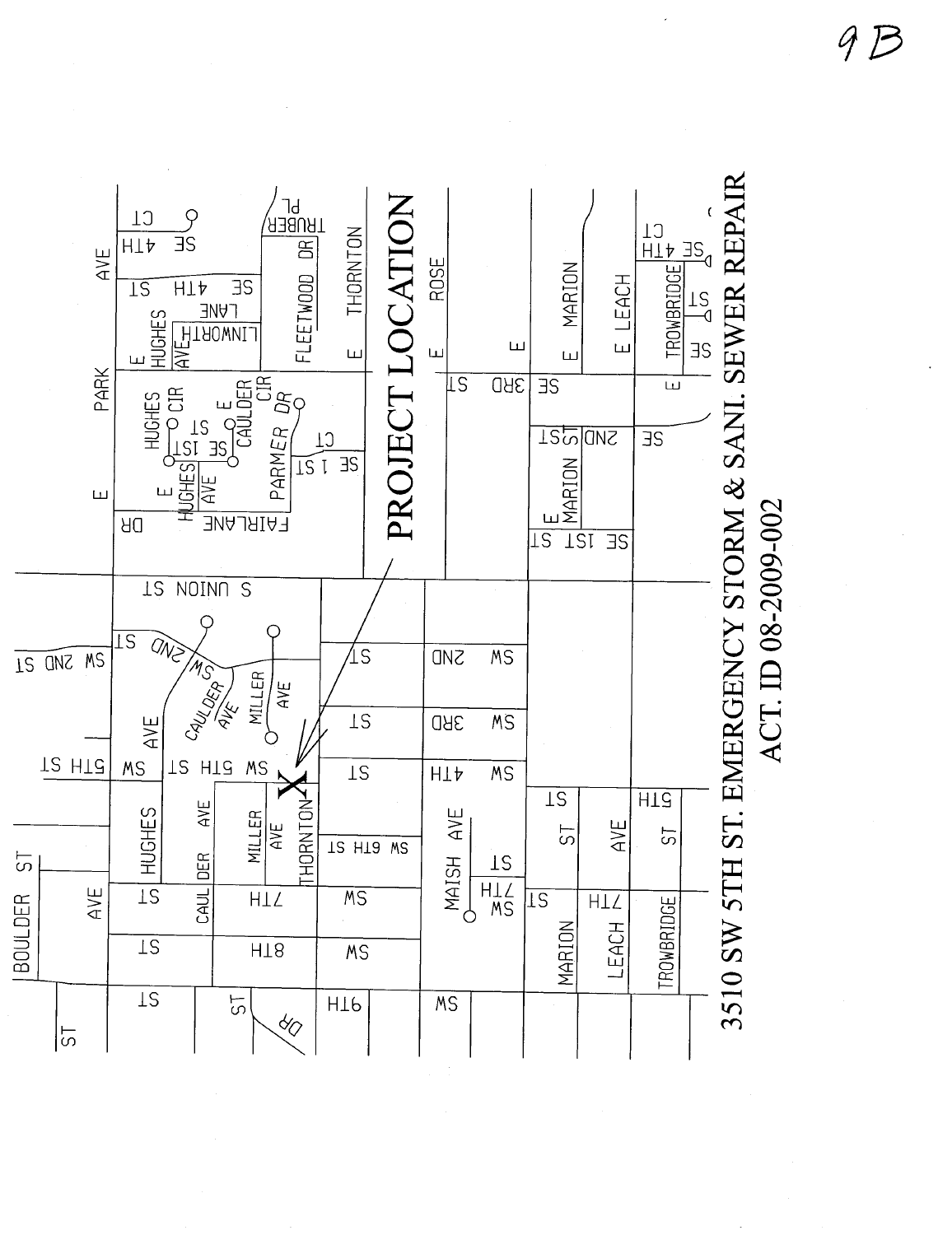9B

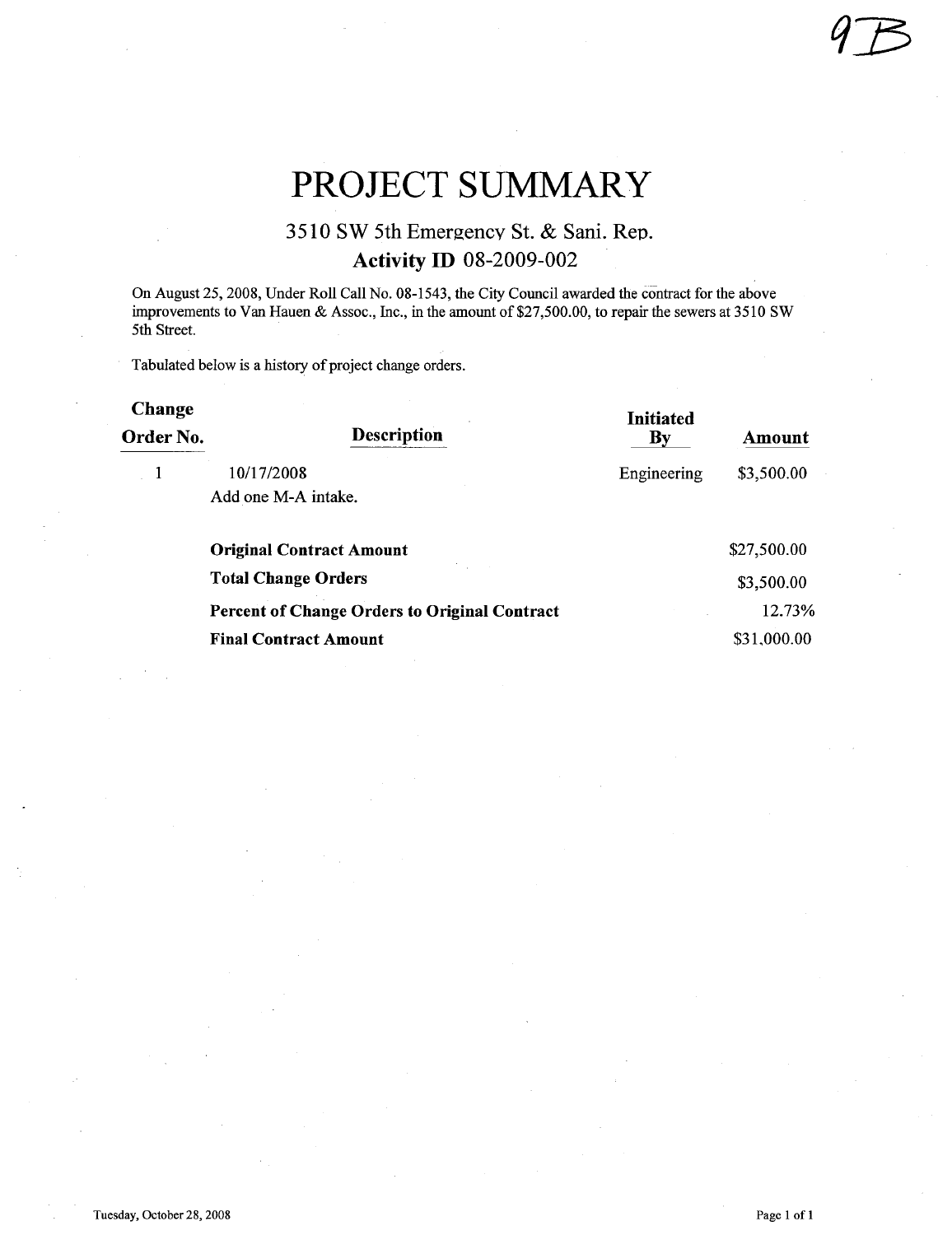# PROJECT SUMMARY

### 3510 SW 5th Emergency St. & Sani. Rep. **Activity ID 08-2009-002**

On August 25,2008, Under Roll Call No. 08-1543, the City Council awarded the contract for the above improvements to Van Hauen & Assoc., Inc., in the amount of \$27,500.00, to repair the sewers at 3510 SW 5th Street.

Tabulated below is a history of project change orders.

| <b>Change</b><br>Order No. | <b>Description</b>                                   | <b>Initiated</b><br>By | Amount      |
|----------------------------|------------------------------------------------------|------------------------|-------------|
|                            | 10/17/2008<br>Add one M-A intake.                    | Engineering            | \$3,500.00  |
|                            | <b>Original Contract Amount</b>                      |                        | \$27,500.00 |
|                            | <b>Total Change Orders</b>                           |                        | \$3,500.00  |
|                            | <b>Percent of Change Orders to Original Contract</b> |                        | 12.73%      |
|                            | <b>Final Contract Amount</b>                         |                        | \$31,000.00 |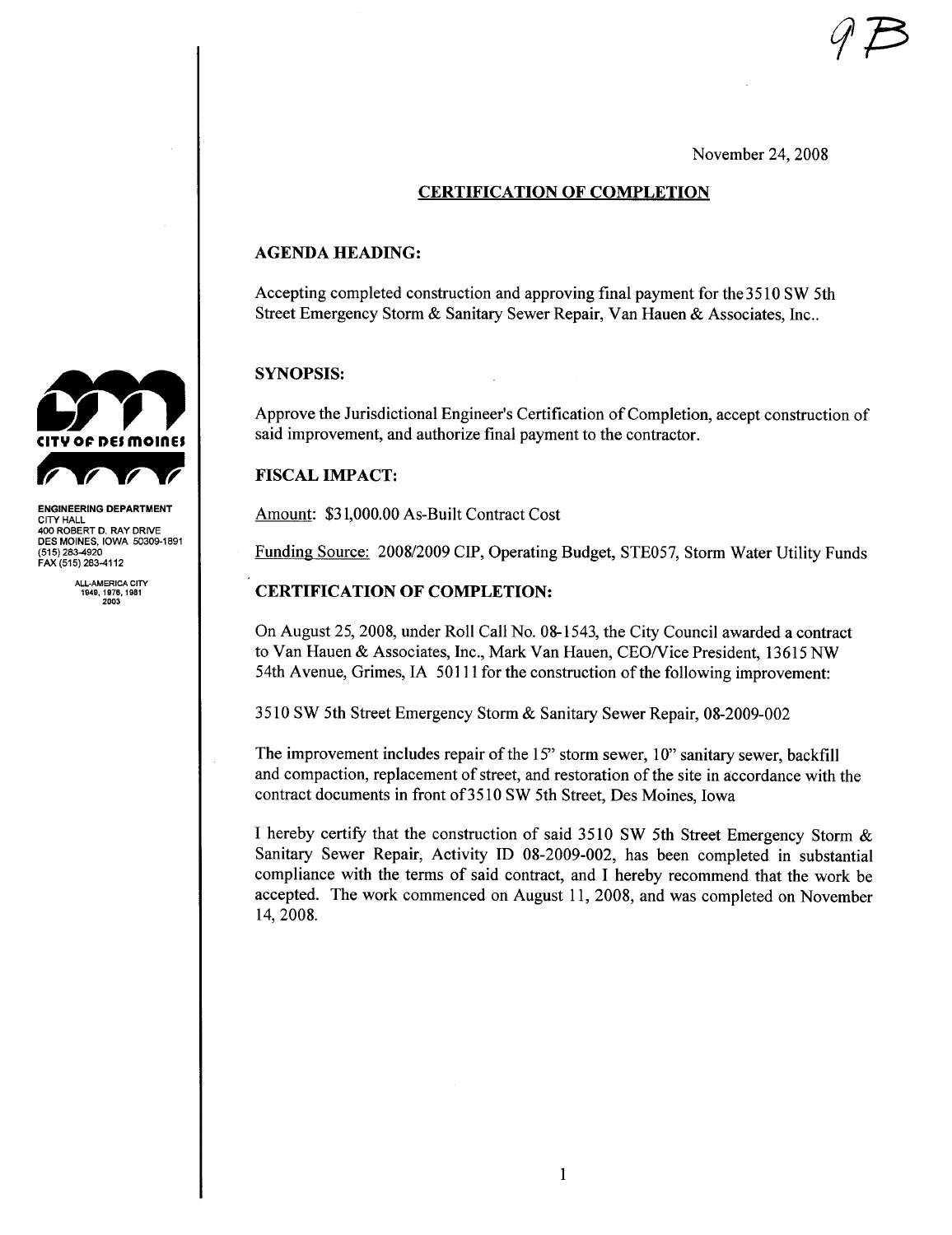November 24, 2008

#### CERTIFICATION OF COMPLETION

#### AGENDA HEADING:

Accepting completed construction and approving final payment for the 3510 SW 5th Street Emergency Storm & Sanitary Sewer Repair, Van Hauen & Associates, Inc..

#### SYNOPSIS:

Approve the Jurisdictional Engineer's Certification of Completion, accept construction of said improvement, and authorize final payment to the contractor.

#### **FISCAL IMPACT:**

Amount: \$31,000.00 As-Built Contract Cost

Funding Source: 2008/2009 CIP, Operating Budget, STE057, Storm Water Utilty Funds

#### CERTIFICATION OF COMPLETION:

On August 25, 2008, under Roll Call No. 08-1543, the City Council awarded a contract to Van Hauen & Associates, Inc., Mark Van Hauen, CEO/Vice President, 13615 NW 54th Avenue, Grimes, IA 50111 for the construction of the following improvement:

3510 SW 5th Street Emergency Storm & Sanitary Sewer Repair, 08-2009-002

The improvement includes repair of the 15" storm sewer, 10" sanitary sewer, backfill and compaction, replacement of street, and restoration of the site in accordance with the contract documents in front of3510 SW 5th Street, Des Moines, Iowa

I hereby certify that the construction of said 3510 SW 5th Street Emergency Storm & Sanitary Sewer Repair, Activity ID 08-2009-002, has been completed in substantial compliance with the terms of said contract, and I hereby recommend that the work be accepted. The work commenced on August 11,2008, and was completed on November 14, 2008.



ENGINEERING DEPARTMENT CITY HALL 400 ROBERT D. RAY DRIVE DES MOINES, IOWA 50309-1891 (515) 283-4920 FAX (515) 283-4112

ALL-AMERICA CITY 1949.1978,1981 2003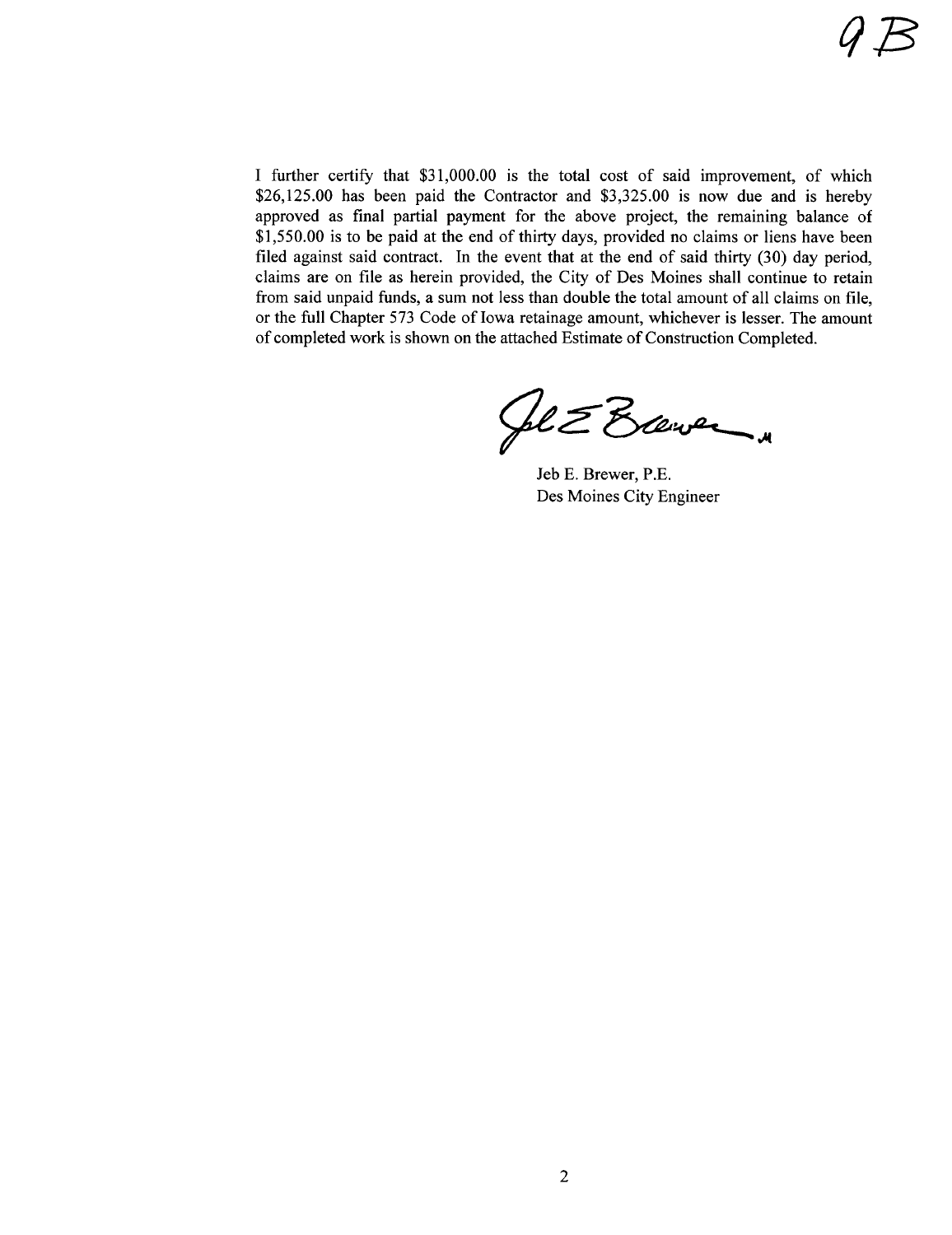I further certify that \$31,000.00 is the total cost of said improvement, of which \$26,125.00 has been paid the Contractor and \$3,325.00 is now due and is hereby approved as final partial payment for the above project, the remaining balance of \$1,550.00 is to be paid at the end of thirty days, provided no claims or liens have been filed against said contract. In the event that at the end of said thirty  $(30)$  day period, claims are on fie as herein provided, the City of Des Moines shall continue to retain from said unpaid funds, a sum not less than double the total amount of all claims on fie, or the full Chapter 573 Code of Iowa retainage amount, whichever is lesser. The amount of completed work is shown on the attached Estimate of Construction Completed.

Sol & Exerce

Jeb E. Brewer, P.E. Des Moines City Engineer